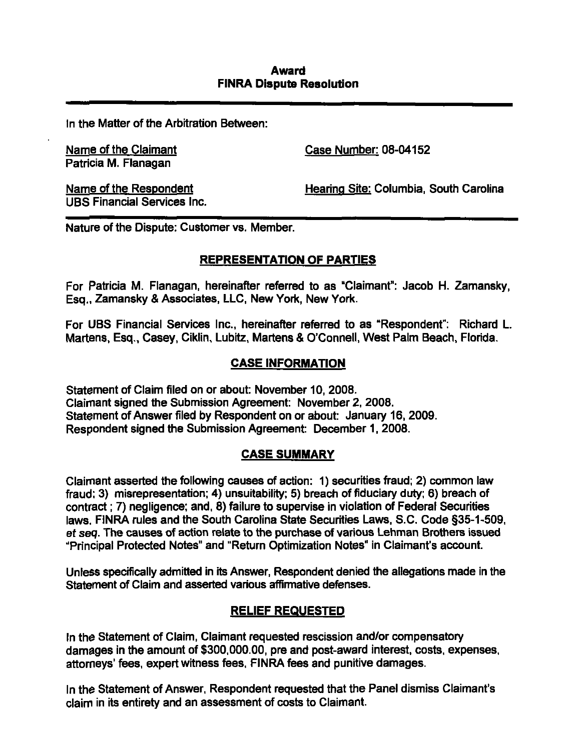## Award FINRA Dispute Resolution

In the Matter of the Arbitration Between:

Patricia M. Flanagan

Name of the Claimant Case Number: 08-04152

UBS Financial Services Inc.

Name of the Respondent The Respondent Hearing Site: Columbia, South Carolina

Nature of the Dispute: Customer vs. Member.

# REPRESENTATION OF PARTIES

For Patricia M. Flanagan, hereinafter referred to as "Claimant": Jacob H. Zamansky, Esg., Zamansky & Associates, LLC, New York, New York.

For UBS Financial Services Inc., hereinafter referred to as "Respondent": Richard L. Martens, Esq., Casey, Ciklin, Lubitz, Martens & O'Connell, West Palm Beach, Florida.

# CASE INFORMATION

Statement of Claim filed on or about: November 10, 2008. Claimant signed the Submission Agreement: November 2, 2008. Statement of Answer filed by Respondent on or about: January 16, 2009. Respondent signed the Submission Agreement: December 1, 2008.

### CASE SUMMARY

Claimant asserted the following causes of action: 1) securities fraud; 2) common law fraud: 3) misrepresentation; 4) unsuitability; 5) breach of fiduciary duty; 6) breach of contract; 7) negligence; and, 8) failure to supervise in violation of Federal Securities laws. FINRA rules and the South Carolina State Securities Laws, S.C. Code §35-1-509, et seq. The causes of action relate to the purchase of various Lehman Brothers issued "Principal Protected Notes" and "Return Optimization Notes" in Claimant's account.

Unless specifically admitted in its Answer, Respondent denied the allegations made in the Statement of Claim and asserted various affirmative defenses.

## RELIEF REQUESTED

In the Statement of Claim, Claimant requested rescission and/or compensatory damages in the amount of \$300,000.00, pre and post-award interest, costs, expenses, attorneys' fees, expert witness fees, FINRA fees and punitive damages.

In the Statement of Answer, Respondent requested that the Panel dismiss Claimant's claim in its entirety and an assessment of costs to Claimant.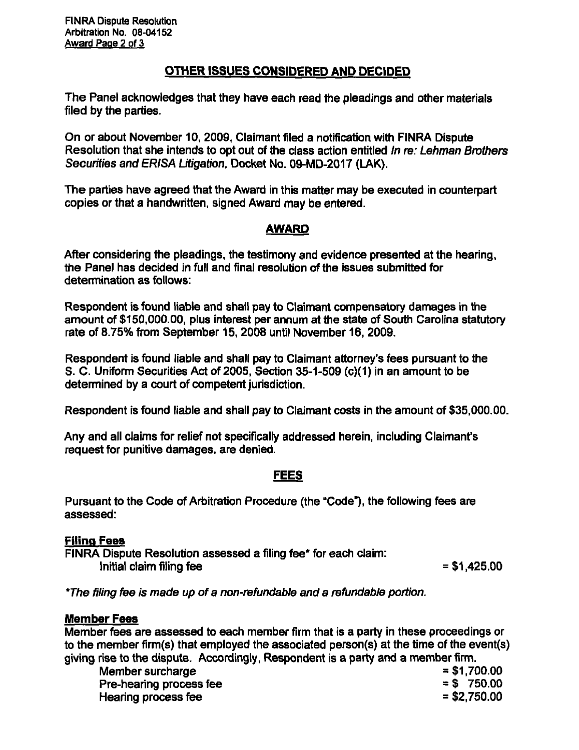# OTHER ISSUES CONSIDERED AND DECIDED

The Panel acknowledges that they have each read the pleadings and other materials filed by the parties.

On or about November 10, 2009, Claimant filed a notification with FINRA Dispute Resolution that she intends to opt out of the class action entitled In re: Lehman Brothers Securities and ERISA Litigation, Docket No. 09-MD-2017 (LAK).

The parties have agreed that the Award in this matter may be executed in counterpart copies or that a handwritten, signed Award may be entered.

# AWARD

After considering the pleadings, the testimony and evidence presented at the hearing, the Panel has decided in full and final resolution of the issues submitted for determination as follows:

Respondent is found liable and shall pay to Claimant compensatory damages in the amount of \$150,000.00, plus interest per annum at the state of South Carolina stetutory rate of 8.75% from September 15. 2008 until November 16, 2009.

Respondent is found liable and shall pay to Claimant attorney's fees pursuant to the S. C. Uniform Securities Act of 2005, Section 35-1-509 (c)(1) in an amount to be detennined by a court of competent jurisdiction.

Respondent is found liable and shall pay to Claimant costs in the amount of \$35,000.00.

Any and all claims for relief not specifically addressed herein, including Claimant's request for punitive damages, are denied.

## FEES

Pursuant to the Code of Arbitration Procedure (the "Code"), the following fees are assessed:

## Filing Fees

FINRA Dispute Resolution assessed a filing fee\* for each claim:  $Initial$  claim filing fee  $= $1,425.00$ 

\*The filing fee is made up of a non-refundable and a refundable portion.

## Member Fees

Member fees are assessed to each member firm that is a party in these proceedings or to the member firm(s) that employed the associated person(s) at the time of the event(s) giving rise to the dispute. Accordingly, Respondent is a party and a member firm.

Member surcharge  $= $1,700.00$ <br>Pre-hearing process fee Pre-hearing process fee  $=$  \$ 750.00  $=$  \$ 750.00  $=$  \$2.750.00 Hearing process fee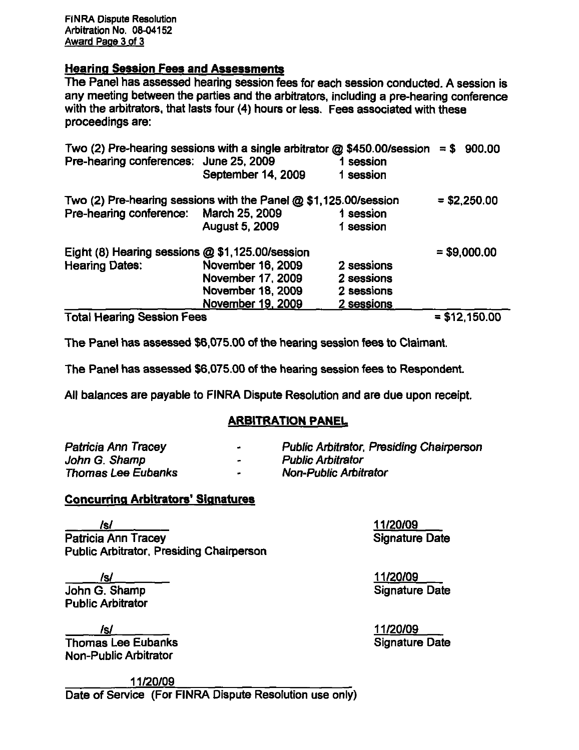FINRA Dispute Resolution Arbitration No. 08-04152 Award Page 3 of 3

## Hearing Session Fees and Assessments

The Panel has assessed hearing session fees for each session conducted. A session is any meeting between the parties and the arbitrators, including a pre-hearing conference with the arbitrators, that lasts four (4) hours or less. Fees associated with these proceedings are:

| Two (2) Pre-hearing sessions with a single arbitrator $\omega$ \$450.00/session = \$<br>Pre-hearing conferences: June 25, 2009 |                          | 1 session  | 900.00         |
|--------------------------------------------------------------------------------------------------------------------------------|--------------------------|------------|----------------|
|                                                                                                                                | September 14, 2009       | 1 session  |                |
| Two (2) Pre-hearing sessions with the Panel $@$ \$1,125.00/session                                                             |                          |            | $= $2,250.00$  |
| Pre-hearing conference: March 25, 2009                                                                                         |                          | 1 session  |                |
|                                                                                                                                | August 5, 2009           | 1 session  |                |
| Eight (8) Hearing sessions @ \$1,125.00/session                                                                                |                          |            | $= $9,000.00$  |
| <b>Hearing Dates:</b>                                                                                                          | November 16, 2009        | 2 sessions |                |
|                                                                                                                                | November 17, 2009        | 2 sessions |                |
|                                                                                                                                | <b>November 18, 2009</b> | 2 sessions |                |
|                                                                                                                                | November 19, 2009        | 2 sessions |                |
| <b>Total Hearing Session Fees</b>                                                                                              |                          |            | $= $12,150.00$ |

The Panel has assessed \$6,075.00 of the hearing session fees to Claimant.

The Panel has assessed \$6,075.00 of the hearing session fees to Respondent.

All balances are payable to FINRA Dispute Resolution and are due upon receipt.

## ARBITRATION PANEL

| Patricia Ann Tracey | <b>Public Arbitrator, Presiding Chairperson</b> |
|---------------------|-------------------------------------------------|
| John G. Shamp       | <b>Public Arbitrator</b>                        |
| Thomas Lee Eubanks  | <b>Non-Public Arbitrator</b>                    |

## Concurring Arbitrators' Signatures

/s/ 11/20/09 Patricia Ann Tracey **Signature Date** Public Arbitrator, Presiding Chairperson

/s/ 11/20/09 Public Arbitrator

/s/ 11/20/09  $T$ homas Lee Eubanks Non-Public Arbitrator

**Signature Date** 

11/20/09 Date of Service (For FINRA Dispute Resolution use only)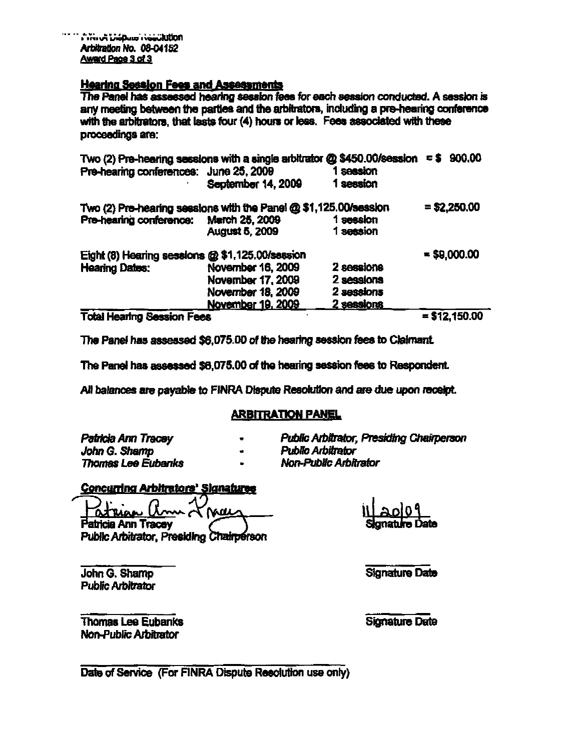#### **Hearing Session Fees and Assessments**

The Panel has assessed hearing session fees for each session conducted. A session is any meeting between the parties and the arbitrators, including a pre-hearing conference with the arbitrators, that lasts four (4) hours or less. Fees associated with these proceedings are:

| Two (2) Pre-hearing sessions with a single arbitrator @ \$450.00/session = \$ 900.00<br>Pre-hearing conferences: June 25, 2009 |                       | <b>session</b> |                |
|--------------------------------------------------------------------------------------------------------------------------------|-----------------------|----------------|----------------|
|                                                                                                                                | September 14, 2009    | 1 session      |                |
| Two (2) Pre-hearing sessions with the Panel @ \$1,125.00/session                                                               |                       |                | $= $2,250.00$  |
| Pre-hearing conference:                                                                                                        | <b>March 25, 2009</b> | 1 session      |                |
|                                                                                                                                | <b>August 5, 2009</b> | 1 session      |                |
| Eight (8) Hearing sessions @ \$1,125,00/session                                                                                |                       |                | $= $9,000.00$  |
| <b>Hearing Dates:</b>                                                                                                          | November 16, 2009     | 2 sessions     |                |
|                                                                                                                                | November 17, 2009     | 2 sessions     |                |
|                                                                                                                                | November 18, 2009     | 2 sessions     |                |
|                                                                                                                                | November 19, 2009     | 2 sessions     |                |
| <b>Total Hearing Session Fees</b>                                                                                              |                       |                | $= $12.150.00$ |

The Panel has assessed \$6.075.00 of the hearing session fees to Claimant.

The Panel has assessed \$6,075.00 of the hearing session fees to Respondent.

All balances are payable to FINRA Dispute Resolution and are due upon receipt.

### **ARBITRATION PANEL**

Patricia Ann Tracey John G. Shamp Thomas Lee Eubanks

- **Public Arbitrator, Presiding Chairperson**
- Public Arbitrator
- Non-Public Arbitrator

**Concurring Arbitrators' Signatures** 

<u>rhan</u> (L MILL Patricia Ann Tracev

Public Arbitrator, Presiding Chairpérson

John G. Shamp **Public Arbitrator** 

**Signature Date** 

**Thomas Lee Eubanks Non-Public Arbitrator** 

**Signature Date** 

Date of Service (For FINRA Dispute Resolution use only)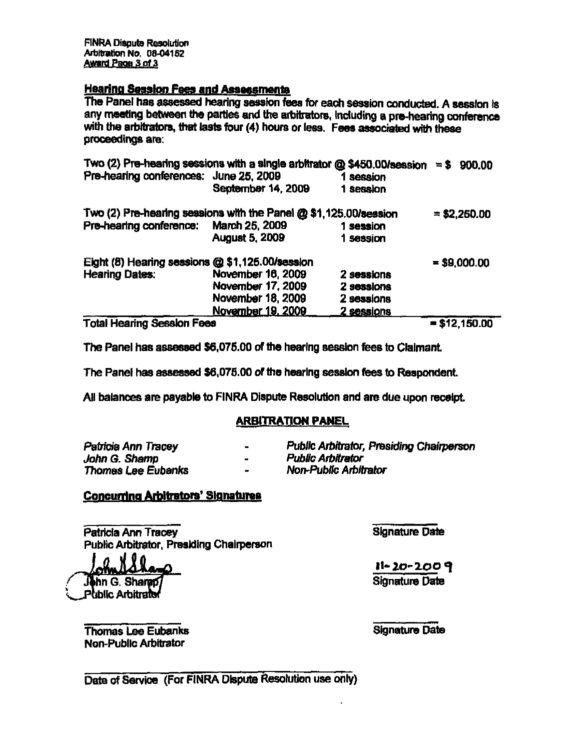FINRA Disputs Resolution Arbitration No. 08-04152 Award Page 3 of 3

#### **Hearing Session Fees and Assessments**

The Panel has assessed hearing session fees for each session conducted. A session is any meeting between the parties and the arbitrators, including a pre-hearing conference with the arbitrators, that lasts four (4) hours or less. Fees associated with these proceedings are:

| Two (2) Pre-hearing sessions with a single arbitrator $\omega$ \$450.00/session = \$ 900.00<br>Pre-hearing conferences: June 25, 2009 |                       | 1 session  |                |
|---------------------------------------------------------------------------------------------------------------------------------------|-----------------------|------------|----------------|
|                                                                                                                                       | September 14, 2009    | 1 session  |                |
| Two (2) Pre-hearing sessions with the Panel @ \$1,125.00/session                                                                      |                       |            | $= $2,250.00$  |
| Pre-hearing conference: March 25, 2009                                                                                                |                       | 1 session  |                |
|                                                                                                                                       | <b>August 5, 2009</b> | 1 session  |                |
| Eight (8) Hearing sessions @ \$1,125.00/session                                                                                       |                       |            | $= $9,000.00$  |
| <b>Hearing Dates:</b>                                                                                                                 | November 16, 2009     | 2 sessions |                |
|                                                                                                                                       | November 17, 2009     | 2 sessions |                |
|                                                                                                                                       | November 18, 2009     | 2 sessions |                |
|                                                                                                                                       | November 19, 2009     | 2 sessions |                |
| <b>Total Hearing Session Fees</b>                                                                                                     |                       |            | $= $12,150.00$ |

The Panel has assessed \$6,076.00 of the hearing session fees to Claimant

The Panel has assessed \$6,075.00 of the hearing session fees to Respondent.

All balances are payable to FINRA Dispute Resolution and are due upon receipt,

#### ARBITRATION PANEL

| Patricia Ann Tracey | $\blacksquare$           | Public Arbitrator, Presiding Chairperson |
|---------------------|--------------------------|------------------------------------------|
| John G. Shamp       |                          | Public Arbitrator                        |
| Thomas Lee Eubanks  | $\overline{\phantom{a}}$ | Non-Public Arbitrator                    |

#### Concurring Arbitrators' Signatures

Patricia Ann Tracey Public Arbitrator, Presiding Chairperson

**John G. Shared Public Arbitrato**  Signature Date

11-20-2009 Signature Date

**Thomas Lee Eubanks** Non-Public Arbitrator

Signature Date

Date of Service (For FINRA Dispute Resolution use only)